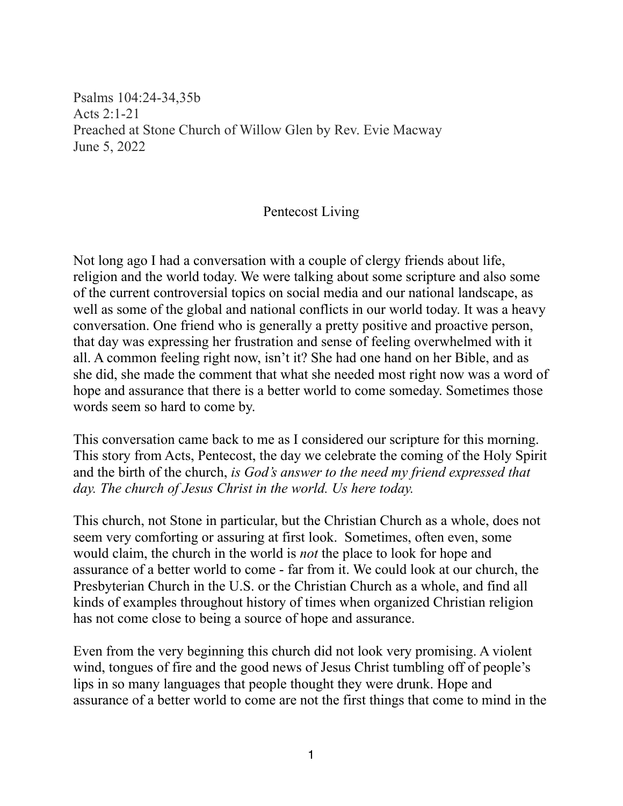Psalms 104:24-34,35b Acts 2:1-21 Preached at Stone Church of Willow Glen by Rev. Evie Macway June 5, 2022

## Pentecost Living

Not long ago I had a conversation with a couple of clergy friends about life, religion and the world today. We were talking about some scripture and also some of the current controversial topics on social media and our national landscape, as well as some of the global and national conflicts in our world today. It was a heavy conversation. One friend who is generally a pretty positive and proactive person, that day was expressing her frustration and sense of feeling overwhelmed with it all. A common feeling right now, isn't it? She had one hand on her Bible, and as she did, she made the comment that what she needed most right now was a word of hope and assurance that there is a better world to come someday. Sometimes those words seem so hard to come by.

This conversation came back to me as I considered our scripture for this morning. This story from Acts, Pentecost, the day we celebrate the coming of the Holy Spirit and the birth of the church, *is God's answer to the need my friend expressed that day. The church of Jesus Christ in the world. Us here today.*

This church, not Stone in particular, but the Christian Church as a whole, does not seem very comforting or assuring at first look. Sometimes, often even, some would claim, the church in the world is *not* the place to look for hope and assurance of a better world to come - far from it. We could look at our church, the Presbyterian Church in the U.S. or the Christian Church as a whole, and find all kinds of examples throughout history of times when organized Christian religion has not come close to being a source of hope and assurance.

Even from the very beginning this church did not look very promising. A violent wind, tongues of fire and the good news of Jesus Christ tumbling off of people's lips in so many languages that people thought they were drunk. Hope and assurance of a better world to come are not the first things that come to mind in the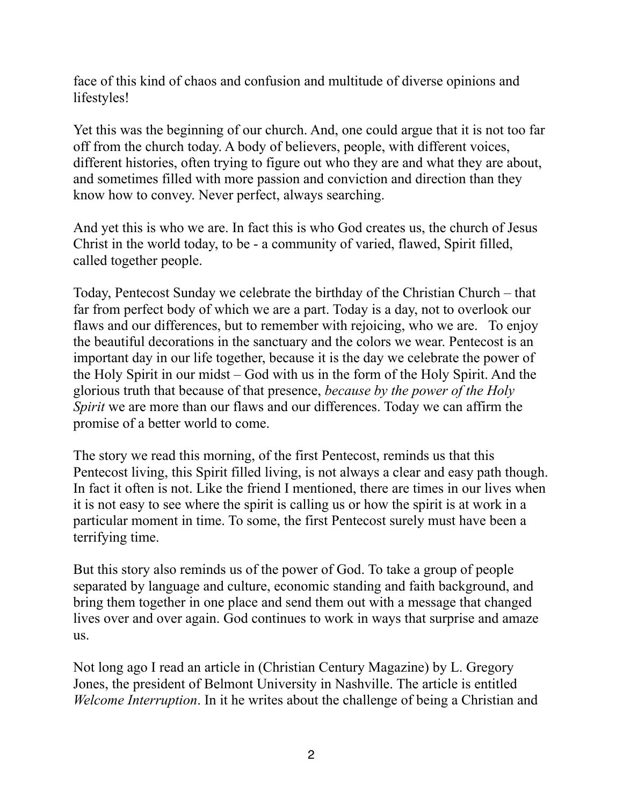face of this kind of chaos and confusion and multitude of diverse opinions and lifestyles!

Yet this was the beginning of our church. And, one could argue that it is not too far off from the church today. A body of believers, people, with different voices, different histories, often trying to figure out who they are and what they are about, and sometimes filled with more passion and conviction and direction than they know how to convey. Never perfect, always searching.

And yet this is who we are. In fact this is who God creates us, the church of Jesus Christ in the world today, to be - a community of varied, flawed, Spirit filled, called together people.

Today, Pentecost Sunday we celebrate the birthday of the Christian Church – that far from perfect body of which we are a part. Today is a day, not to overlook our flaws and our differences, but to remember with rejoicing, who we are. To enjoy the beautiful decorations in the sanctuary and the colors we wear. Pentecost is an important day in our life together, because it is the day we celebrate the power of the Holy Spirit in our midst – God with us in the form of the Holy Spirit. And the glorious truth that because of that presence, *because by the power of the Holy Spirit* we are more than our flaws and our differences. Today we can affirm the promise of a better world to come.

The story we read this morning, of the first Pentecost, reminds us that this Pentecost living, this Spirit filled living, is not always a clear and easy path though. In fact it often is not. Like the friend I mentioned, there are times in our lives when it is not easy to see where the spirit is calling us or how the spirit is at work in a particular moment in time. To some, the first Pentecost surely must have been a terrifying time.

But this story also reminds us of the power of God. To take a group of people separated by language and culture, economic standing and faith background, and bring them together in one place and send them out with a message that changed lives over and over again. God continues to work in ways that surprise and amaze us.

Not long ago I read an article in (Christian Century Magazine) by L. Gregory Jones, the president of Belmont University in Nashville. The article is entitled *Welcome Interruption*. In it he writes about the challenge of being a Christian and